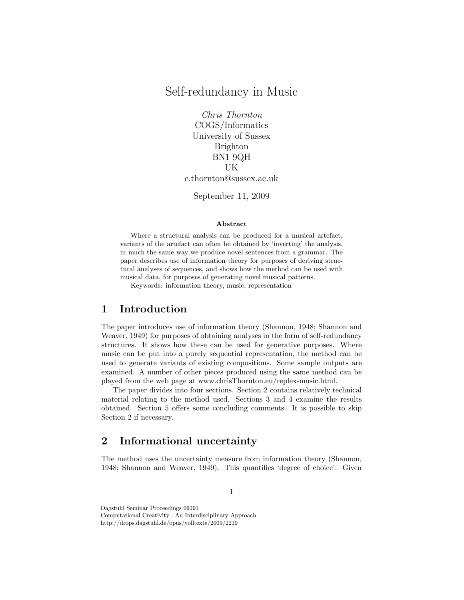# Self-redundancy in Music

Chris Thornton COGS/Informatics University of Sussex Brighton BN1 9QH UK c.thornton@sussex.ac.uk

September 11, 2009

#### Abstract

Where a structural analysis can be produced for a musical artefact, variants of the artefact can often be obtained by 'inverting' the analysis, in much the same way we produce novel sentences from a grammar. The paper describes use of information theory for purposes of deriving structural analyses of sequences, and shows how the method can be used with musical data, for purposes of generating novel musical patterns.

Keywords: information theory, music, representation

# 1 Introduction

The paper introduces use of information theory (Shannon, 1948; Shannon and Weaver, 1949) for purposes of obtaining analyses in the form of self-redundancy structures. It shows how these can be used for generative purposes. Where music can be put into a purely sequential representation, the method can be used to generate variants of existing compositions. Some sample outputs are examined. A number of other pieces produced using the same method can be played from the web page at www.chrisThornton.eu/replex-music.html.

The paper divides into four sections. Section 2 contains relatively technical material relating to the method used. Sections 3 and 4 examine the results obtained. Section 5 offers some concluding comments. It is possible to skip Section 2 if necessary.

### 2 Informational uncertainty

The method uses the uncertainty measure from information theory (Shannon, 1948; Shannon and Weaver, 1949). This quantifies 'degree of choice'. Given

1

Dagstuhl Seminar Proceedings 09291 Computational Creativity : An Interdisciplinary Approach http://drops.dagstuhl.de/opus/volltexte/2009/2219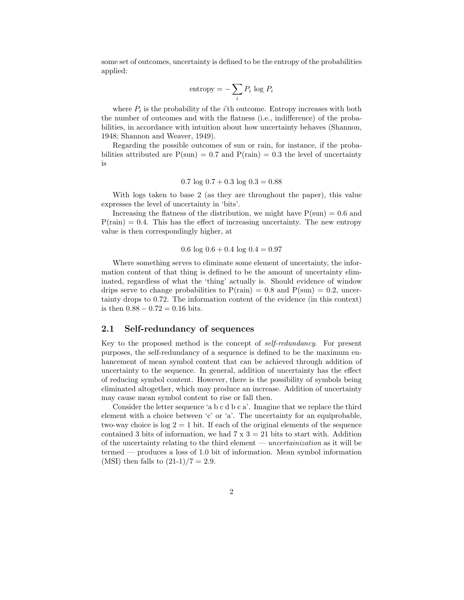some set of outcomes, uncertainty is defined to be the entropy of the probabilities applied:

entropy 
$$
= -\sum_i P_i \log P_i
$$

where  $P_i$  is the probability of the *i*'th outcome. Entropy increases with both the number of outcomes and with the flatness (i.e., indifference) of the probabilities, in accordance with intuition about how uncertainty behaves (Shannon, 1948; Shannon and Weaver, 1949).

Regarding the possible outcomes of sun or rain, for instance, if the probabilities attributed are  $P(\text{sun}) = 0.7$  and  $P(\text{rain}) = 0.3$  the level of uncertainty is

$$
0.7 \log 0.7 + 0.3 \log 0.3 = 0.88
$$

With logs taken to base 2 (as they are throughout the paper), this value expresses the level of uncertainty in 'bits'.

Increasing the flatness of the distribution, we might have  $P(\text{sun}) = 0.6$  and  $P(\text{rain}) = 0.4$ . This has the effect of increasing uncertainty. The new entropy value is then correspondingly higher, at

$$
0.6 \log 0.6 + 0.4 \log 0.4 = 0.97
$$

Where something serves to eliminate some element of uncertainty, the information content of that thing is defined to be the amount of uncertainty eliminated, regardless of what the 'thing' actually is. Should evidence of window drips serve to change probabilities to  $P(\text{rain}) = 0.8$  and  $P(\text{sun}) = 0.2$ , uncertainty drops to 0.72. The information content of the evidence (in this context) is then  $0.88 - 0.72 = 0.16$  bits.

### 2.1 Self-redundancy of sequences

Key to the proposed method is the concept of self-redundancy. For present purposes, the self-redundancy of a sequence is defined to be the maximum enhancement of mean symbol content that can be achieved through addition of uncertainty to the sequence. In general, addition of uncertainty has the effect of reducing symbol content. However, there is the possibility of symbols being eliminated altogether, which may produce an increase. Addition of uncertainty may cause mean symbol content to rise or fall then.

Consider the letter sequence 'a b c d b c a'. Imagine that we replace the third element with a choice between 'c' or 'a'. The uncertainty for an equiprobable, two-way choice is  $log 2 = 1$  bit. If each of the original elements of the sequence contained 3 bits of information, we had  $7 \times 3 = 21$  bits to start with. Addition of the uncertainty relating to the third element — uncertainization as it will be termed — produces a loss of 1.0 bit of information. Mean symbol information (MSI) then falls to  $(21-1)/7 = 2.9$ .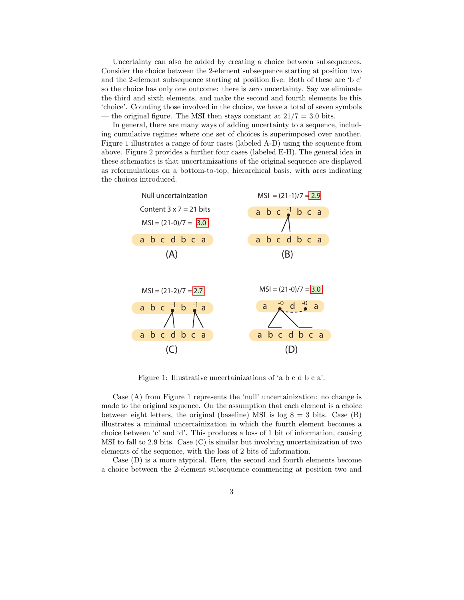Uncertainty can also be added by creating a choice between subsequences. Consider the choice between the 2-element subsequence starting at position two and the 2-element subsequence starting at position five. Both of these are 'b c' so the choice has only one outcome: there is zero uncertainty. Say we eliminate the third and sixth elements, and make the second and fourth elements be this 'choice'. Counting those involved in the choice, we have a total of seven symbols — the original figure. The MSI then stays constant at  $21/7 = 3.0$  bits.

In general, there are many ways of adding uncertainty to a sequence, including cumulative regimes where one set of choices is superimposed over another. Figure 1 illustrates a range of four cases (labeled A-D) using the sequence from above. Figure 2 provides a further four cases (labeled E-H). The general idea in these schematics is that uncertainizations of the original sequence are displayed as reformulations on a bottom-to-top, hierarchical basis, with arcs indicating the choices introduced.



Figure 1: Illustrative uncertainizations of 'a b c d b c a'.

Case (A) from Figure 1 represents the 'null' uncertainization: no change is made to the original sequence. On the assumption that each element is a choice between eight letters, the original (baseline) MSI is log  $8 = 3$  bits. Case (B) illustrates a minimal uncertainization in which the fourth element becomes a choice between 'c' and 'd'. This produces a loss of 1 bit of information, causing MSI to fall to 2.9 bits. Case (C) is similar but involving uncertainization of two elements of the sequence, with the loss of 2 bits of information.

Case (D) is a more atypical. Here, the second and fourth elements become a choice between the 2-element subsequence commencing at position two and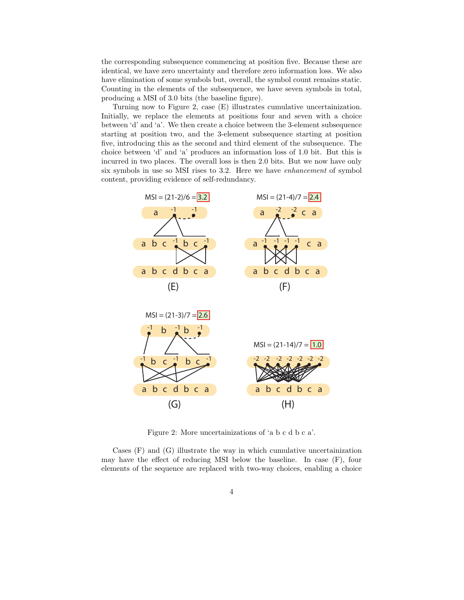the corresponding subsequence commencing at position five. Because these are identical, we have zero uncertainty and therefore zero information loss. We also have elimination of some symbols but, overall, the symbol count remains static. Counting in the elements of the subsequence, we have seven symbols in total, producing a MSI of 3.0 bits (the baseline figure).

Turning now to Figure 2, case (E) illustrates cumulative uncertainization. Initially, we replace the elements at positions four and seven with a choice between 'd' and 'a'. We then create a choice between the 3-element subsequence starting at position two, and the 3-element subsequence starting at position five, introducing this as the second and third element of the subsequence. The choice between 'd' and 'a' produces an information loss of 1.0 bit. But this is incurred in two places. The overall loss is then 2.0 bits. But we now have only six symbols in use so MSI rises to 3.2. Here we have enhancement of symbol content, providing evidence of self-redundancy.



Figure 2: More uncertainizations of 'a b c d b c a'.

Cases (F) and (G) illustrate the way in which cumulative uncertainization may have the effect of reducing MSI below the baseline. In case (F), four elements of the sequence are replaced with two-way choices, enabling a choice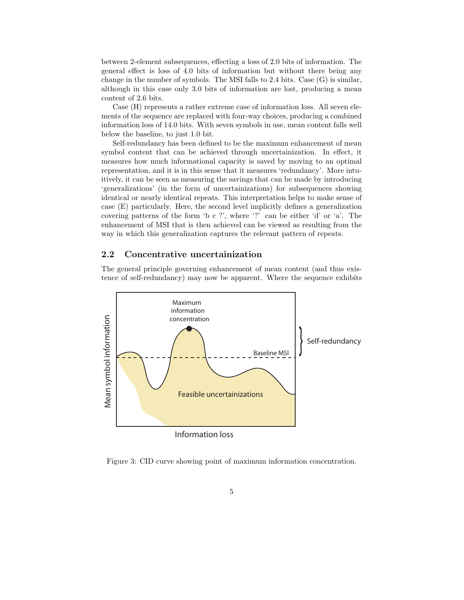between 2-element subsequences, effecting a loss of 2.0 bits of information. The general effect is loss of 4.0 bits of information but without there being any change in the number of symbols. The MSI falls to 2.4 bits. Case (G) is similar, although in this case only 3.0 bits of information are lost, producing a mean content of 2.6 bits.

Case (H) represents a rather extreme case of information loss. All seven elements of the sequence are replaced with four-way choices, producing a combined information loss of 14.0 bits. With seven symbols in use, mean content falls well below the baseline, to just 1.0 bit.

Self-redundancy has been defined to be the maximum enhancement of mean symbol content that can be achieved through uncertainization. In effect, it measures how much informational capacity is saved by moving to an optimal representation, and it is in this sense that it measures 'redundancy'. More intuitively, it can be seen as measuring the savings that can be made by introducing 'generalizations' (in the form of uncertainizations) for subsequences showing identical or nearly identical repeats. This interpretation helps to make sense of case (E) particularly. Here, the second level implicitly defines a generalization covering patterns of the form 'b c ?', where '?' can be either 'd' or 'a'. The enhancement of MSI that is then achieved can be viewed as resulting from the way in which this generalization captures the relevant pattern of repeats.

#### 2.2 Concentrative uncertainization

The general principle governing enhancement of mean content (and thus existence of self-redundancy) may now be apparent. Where the sequence exhibits



Figure 3: CID curve showing point of maximum information concentration.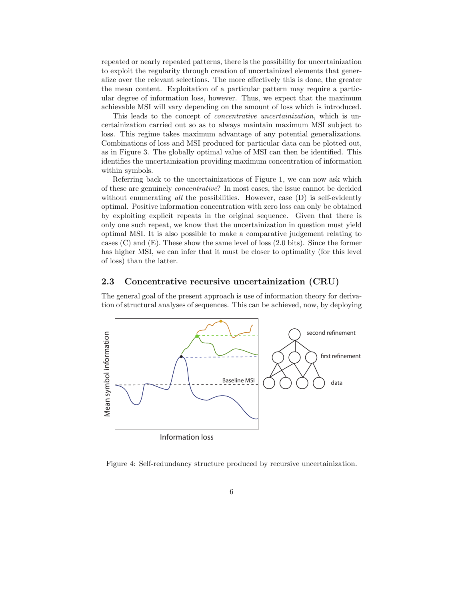repeated or nearly repeated patterns, there is the possibility for uncertainization to exploit the regularity through creation of uncertainized elements that generalize over the relevant selections. The more effectively this is done, the greater the mean content. Exploitation of a particular pattern may require a particular degree of information loss, however. Thus, we expect that the maximum achievable MSI will vary depending on the amount of loss which is introduced.

This leads to the concept of concentrative uncertainization, which is uncertainization carried out so as to always maintain maximum MSI subject to loss. This regime takes maximum advantage of any potential generalizations. Combinations of loss and MSI produced for particular data can be plotted out, as in Figure 3. The globally optimal value of MSI can then be identified. This identifies the uncertainization providing maximum concentration of information within symbols.

Referring back to the uncertainizations of Figure 1, we can now ask which of these are genuinely concentrative? In most cases, the issue cannot be decided without enumerating all the possibilities. However, case  $(D)$  is self-evidently optimal. Positive information concentration with zero loss can only be obtained by exploiting explicit repeats in the original sequence. Given that there is only one such repeat, we know that the uncertainization in question must yield optimal MSI. It is also possible to make a comparative judgement relating to cases (C) and (E). These show the same level of loss (2.0 bits). Since the former has higher MSI, we can infer that it must be closer to optimality (for this level of loss) than the latter.

#### 2.3 Concentrative recursive uncertainization (CRU)

The general goal of the present approach is use of information theory for derivation of structural analyses of sequences. This can be achieved, now, by deploying



Figure 4: Self-redundancy structure produced by recursive uncertainization.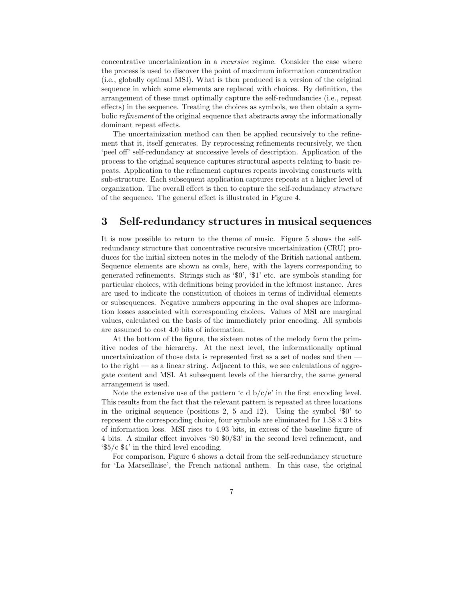concentrative uncertainization in a recursive regime. Consider the case where the process is used to discover the point of maximum information concentration (i.e., globally optimal MSI). What is then produced is a version of the original sequence in which some elements are replaced with choices. By definition, the arrangement of these must optimally capture the self-redundancies (i.e., repeat effects) in the sequence. Treating the choices as symbols, we then obtain a symbolic refinement of the original sequence that abstracts away the informationally dominant repeat effects.

The uncertainization method can then be applied recursively to the refinement that it, itself generates. By reprocessing refinements recursively, we then 'peel off' self-redundancy at successive levels of description. Application of the process to the original sequence captures structural aspects relating to basic repeats. Application to the refinement captures repeats involving constructs with sub-structure. Each subsequent application captures repeats at a higher level of organization. The overall effect is then to capture the self-redundancy structure of the sequence. The general effect is illustrated in Figure 4.

### 3 Self-redundancy structures in musical sequences

It is now possible to return to the theme of music. Figure 5 shows the selfredundancy structure that concentrative recursive uncertainization (CRU) produces for the initial sixteen notes in the melody of the British national anthem. Sequence elements are shown as ovals, here, with the layers corresponding to generated refinements. Strings such as '\$0', '\$1' etc. are symbols standing for particular choices, with definitions being provided in the leftmost instance. Arcs are used to indicate the constitution of choices in terms of individual elements or subsequences. Negative numbers appearing in the oval shapes are information losses associated with corresponding choices. Values of MSI are marginal values, calculated on the basis of the immediately prior encoding. All symbols are assumed to cost 4.0 bits of information.

At the bottom of the figure, the sixteen notes of the melody form the primitive nodes of the hierarchy. At the next level, the informationally optimal uncertainization of those data is represented first as a set of nodes and then to the right  $\sim$  as a linear string. Adjacent to this, we see calculations of aggregate content and MSI. At subsequent levels of the hierarchy, the same general arrangement is used.

Note the extensive use of the pattern 'c d  $b/c/e$ ' in the first encoding level. This results from the fact that the relevant pattern is repeated at three locations in the original sequence (positions 2, 5 and 12). Using the symbol '\$0' to represent the corresponding choice, four symbols are eliminated for  $1.58 \times 3$  bits of information loss. MSI rises to 4.93 bits, in excess of the baseline figure of 4 bits. A similar effect involves '\$0 \$0/\$3' in the second level refinement, and '\$5/c \$4' in the third level encoding.

For comparison, Figure 6 shows a detail from the self-redundancy structure for 'La Marseillaise', the French national anthem. In this case, the original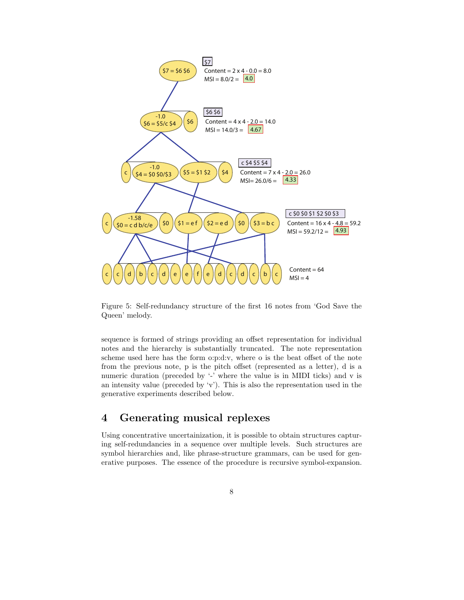

Figure 5: Self-redundancy structure of the first 16 notes from 'God Save the Queen' melody.

sequence is formed of strings providing an offset representation for individual notes and the hierarchy is substantially truncated. The note representation scheme used here has the form o:p:d:v, where o is the beat offset of the note from the previous note, p is the pitch offset (represented as a letter), d is a numeric duration (preceded by '-' where the value is in MIDI ticks) and v is an intensity value (preceded by 'v'). This is also the representation used in the generative experiments described below.

## 4 Generating musical replexes

Using concentrative uncertainization, it is possible to obtain structures capturing self-redundancies in a sequence over multiple levels. Such structures are symbol hierarchies and, like phrase-structure grammars, can be used for generative purposes. The essence of the procedure is recursive symbol-expansion.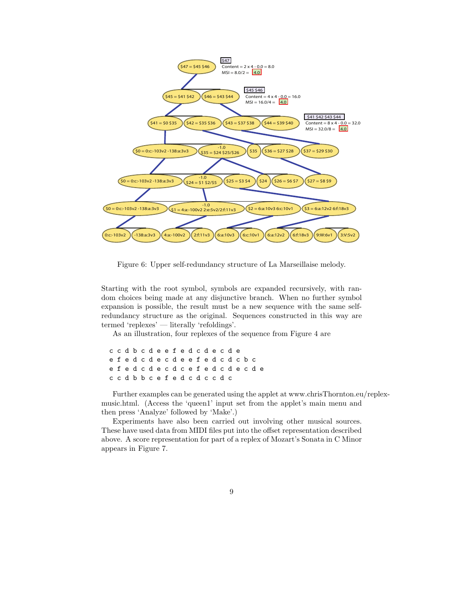

Figure 6: Upper self-redundancy structure of La Marseillaise melody.

Starting with the root symbol, symbols are expanded recursively, with random choices being made at any disjunctive branch. When no further symbol expansion is possible, the result must be a new sequence with the same selfredundancy structure as the original. Sequences constructed in this way are termed 'replexes' — literally 'refoldings'.

As an illustration, four replexes of the sequence from Figure 4 are

c c d b c d e e f e d c d e c d e e f e d c d e c d e e f e d c d c b c e f e d c d e c d c e f e d c d e c d e c c d b b c e f e d c d c c d c

Further examples can be generated using the applet at www.chrisThornton.eu/replexmusic.html. (Access the 'queen1' input set from the applet's main menu and then press 'Analyze' followed by 'Make'.)

Experiments have also been carried out involving other musical sources. These have used data from MIDI files put into the offset representation described above. A score representation for part of a replex of Mozart's Sonata in C Minor appears in Figure 7.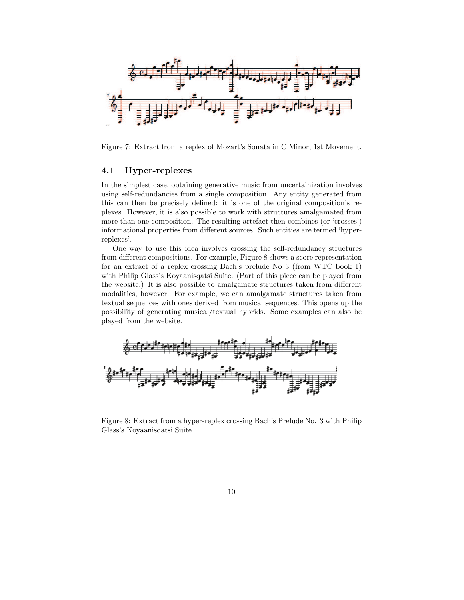

Figure 7: Extract from a replex of Mozart's Sonata in C Minor, 1st Movement.

### 4.1 Hyper-replexes

In the simplest case, obtaining generative music from uncertainization involves using self-redundancies from a single composition. Any entity generated from this can then be precisely defined: it is one of the original composition's replexes. However, it is also possible to work with structures amalgamated from more than one composition. The resulting artefact then combines (or 'crosses') informational properties from different sources. Such entities are termed 'hyperreplexes'.

One way to use this idea involves crossing the self-redundancy structures from different compositions. For example, Figure 8 shows a score representation for an extract of a replex crossing Bach's prelude No 3 (from WTC book 1) with Philip Glass's Koyaanisqatsi Suite. (Part of this piece can be played from the website.) It is also possible to amalgamate structures taken from different modalities, however. For example, we can amalgamate structures taken from textual sequences with ones derived from musical sequences. This opens up the possibility of generating musical/textual hybrids. Some examples can also be played from the website.



Figure 8: Extract from a hyper-replex crossing Bach's Prelude No. 3 with Philip Glass's Koyaanisqatsi Suite.